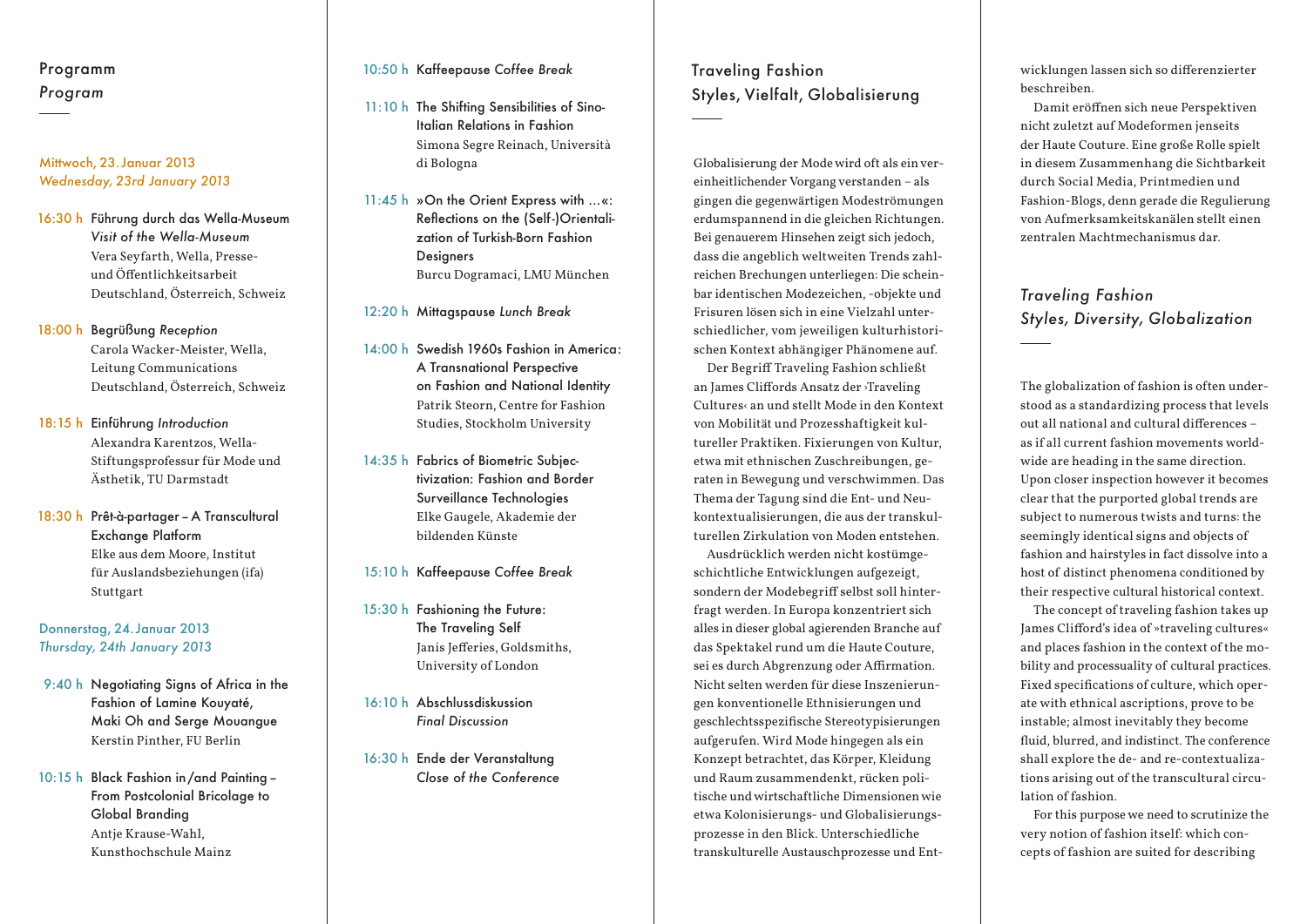### Programm *Program*

#### Mittwoch, 23. Januar 2013 *Wednesday, 23rd January 2013*

- 16:30 h Führung durch das Wella-Museum *Visit of the Wella-Museum* Vera Seyfarth, Wella, Presseund Öffentlichkeitsarbeit Deutschland, Österreich, Schweiz
- 18:00 h Begrüßung *Reception* Carola Wacker-Meister, Wella, Leitung Communications Deutschland, Österreich, Schweiz
- 18:15 h Einführung *Introduction* Alexandra Karentzos, Wella-Stiftungsprofessur für Mode und Ästhetik, TU Darmstadt
- 18:30 h Prêt-à-partager–A Transcultural Exchange Platform Elke aus dem Moore, Institut für Auslandsbeziehungen (ifa) Stuttgart

Donnerstag, 24. Januar 2013 *Thursday, 24th January 2013*

- 9:40 h Negotiating Signs of Africa in the Fashion of Lamine Kouyaté, Maki Oh and Serge Mouangue Kerstin Pinther, FU Berlin
- 10:15 h Black Fashion in /and Painting– From Postcolonial Bricolage to Global Branding Antje Krause-Wahl, Kunsthochschule Mainz

#### 10:50 h Kaffeepause *Coffee Break*

- 11:10 h The Shifting Sensibilities of Sino-Italian Relations in Fashion Simona Segre Reinach, Università di Bologna
- 11:45 h »On the Orient Express with …«: Reflections on the (Self-)Orientalization of Turkish-Born Fashion **Designers** Burcu Dogramaci, LMU München

12:20 h Mittagspause *Lunch Break*

- 14:00 h Swedish 1960s Fashion in America: A Transnational Perspective on Fashion and National Identity Patrik Steorn, Centre for Fashion Studies, Stockholm University
- 14:35 h Fabrics of Biometric Subjectivization: Fashion and Border Surveillance Technologies Elke Gaugele, Akademie der bildenden Künste
- 15:10 h Kaffeepause *Coffee Break*
- 15:30 h Fashioning the Future: The Traveling Self Janis Jefferies, Goldsmiths, University of London
- 16:10 h Abschlussdiskussion *Final Discussion*
- 16:30 h Ende der Veranstaltung *Close of the Conference*

## Traveling Fashion Styles, Vielfalt, Globalisierung

Globalisierung der Mode wird oft als ein vereinheitlichender Vorgang verstanden – als gingen die gegenwärtigen Modeströmungen erdumspannend in die gleichen Richtungen. Bei genauerem Hinsehen zeigt sich jedoch, dass die angeblich weltweiten Trends zahlreichen Brechungen unterliegen: Die scheinbar identischen Modezeichen, -objekte und Frisuren lösen sich in eine Vielzahl unterschiedlicher, vom jeweiligen kulturhistorischen Kontext abhängiger Phänomene auf.

Der Begriff Traveling Fashion schließt an James Cliffords Ansatz der ›Traveling Cultures‹ an und stellt Mode in den Kontext von Mobilität und Prozesshaftigkeit kultureller Praktiken. Fixierungen von Kultur, etwa mit ethnischen Zuschreibungen, geraten in Bewegung und verschwimmen. Das Thema der Tagung sind die Ent- und Neu kontextualisierungen, die aus der transkulturellen Zirkulation von Moden entstehen.

Ausdrücklich werden nicht kostümgeschichtliche Entwicklungen aufgezeigt, sondern der Modebegriff selbst soll hinterfragt werden. In Europa konzentriert sich alles in dieser global agierenden Branche auf das Spektakel rund um die Haute Couture, sei es durch Abgrenzung oder Affirmation. Nicht selten werden für diese Inszenierungen konventionelle Ethnisierungen und geschlechtsspezifische Stereotypisierungen aufgerufen. Wird Mode hingegen als ein Konzept betrachtet, das Körper, Kleidung und Raum zusammendenkt, rücken politische und wirtschaftliche Dimensionen wie etwa Kolonisierungs- und Globalisierungsprozesse in den Blick. Unterschiedliche transkulturelle Austauschprozesse und Entwicklungen lassen sich so differenzierter beschreiben.

Damit eröffnen sich neue Perspektiven nicht zuletzt auf Modeformen jenseits der Haute Couture. Eine große Rolle spielt in diesem Zusammenhang die Sichtbarkeit durch Social Media, Printmedien und Fashion-Blogs, denn gerade die Regulierung von Aufmerksamkeitskanälen stellt einen zentralen Machtmechanismus dar.

## *Traveling Fashion Styles, Diversity, Globalization*

The globalization of fashion is often understood as a standardizing process that levels out all national and cultural differences – as if all current fashion movements worldwide are heading in the same direction. Upon closer inspection however it becomes clear that the purported global trends are subject to numerous twists and turns: the seemingly identical signs and objects of fashion and hairstyles in fact dissolve into a host of distinct phenomena conditioned by their respective cultural historical context.

The concept of traveling fashion takes up James Clifford's idea of »traveling cultures« and places fashion in the context of the mobility and processuality of cultural practices. Fixed specifications of culture, which operate with ethnical ascriptions, prove to be instable; almost inevitably they become fluid, blurred, and indistinct. The conference shall explore the de- and re-contextualizations arising out of the transcultural circulation of fashion.

For this purpose we need to scrutinize the very notion of fashion itself: which concepts of fashion are suited for describing